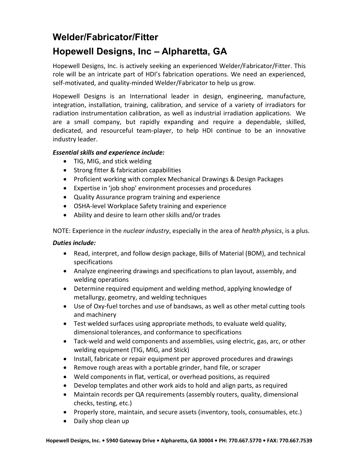# Welder/Fabricator/Fitter Hopewell Designs, Inc – Alpharetta, GA

Hopewell Designs, Inc. is actively seeking an experienced Welder/Fabricator/Fitter. This role will be an intricate part of HDI's fabrication operations. We need an experienced, self-motivated, and quality-minded Welder/Fabricator to help us grow.

Hopewell Designs is an International leader in design, engineering, manufacture, integration, installation, training, calibration, and service of a variety of irradiators for radiation instrumentation calibration, as well as industrial irradiation applications. We are a small company, but rapidly expanding and require a dependable, skilled, dedicated, and resourceful team-player, to help HDI continue to be an innovative industry leader.

## Essential skills and experience include:

- TIG, MIG, and stick welding
- Strong fitter & fabrication capabilities
- Proficient working with complex Mechanical Drawings & Design Packages
- Expertise in 'job shop' environment processes and procedures
- Quality Assurance program training and experience
- OSHA-level Workplace Safety training and experience
- Ability and desire to learn other skills and/or trades

NOTE: Experience in the *nuclear industry*, especially in the area of *health physics*, is a plus.

## Duties include:

- Read, interpret, and follow design package, Bills of Material (BOM), and technical specifications
- Analyze engineering drawings and specifications to plan layout, assembly, and welding operations
- Determine required equipment and welding method, applying knowledge of metallurgy, geometry, and welding techniques
- Use of Oxy-fuel torches and use of bandsaws, as well as other metal cutting tools and machinery
- Test welded surfaces using appropriate methods, to evaluate weld quality, dimensional tolerances, and conformance to specifications
- Tack-weld and weld components and assemblies, using electric, gas, arc, or other welding equipment (TIG, MIG, and Stick)
- Install, fabricate or repair equipment per approved procedures and drawings
- Remove rough areas with a portable grinder, hand file, or scraper
- Weld components in flat, vertical, or overhead positions, as required
- Develop templates and other work aids to hold and align parts, as required
- Maintain records per QA requirements (assembly routers, quality, dimensional checks, testing, etc.)
- Properly store, maintain, and secure assets (inventory, tools, consumables, etc.)
- Daily shop clean up